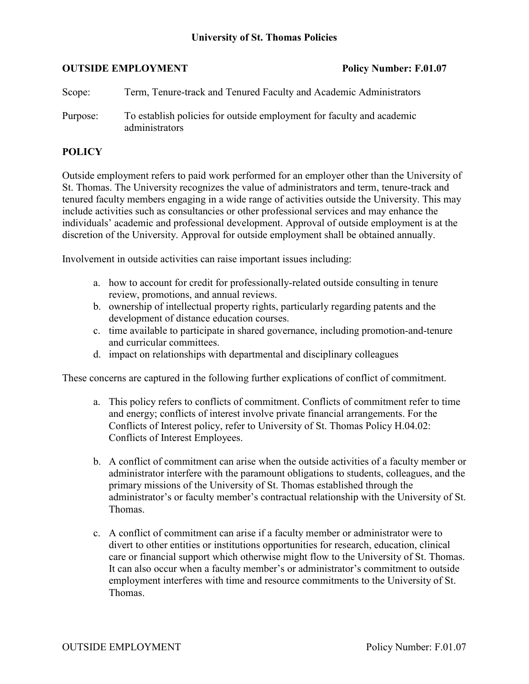# **University of St. Thomas Policies**

### **OUTSIDE EMPLOYMENT Policy Number: F.01.07**

| Scope:   | Term, Tenure-track and Tenured Faculty and Academic Administrators                      |
|----------|-----------------------------------------------------------------------------------------|
| Purpose: | To establish policies for outside employment for faculty and academic<br>administrators |

# **POLICY**

Outside employment refers to paid work performed for an employer other than the University of St. Thomas. The University recognizes the value of administrators and term, tenure-track and tenured faculty members engaging in a wide range of activities outside the University. This may include activities such as consultancies or other professional services and may enhance the individuals' academic and professional development. Approval of outside employment is at the discretion of the University. Approval for outside employment shall be obtained annually.

Involvement in outside activities can raise important issues including:

- a. how to account for credit for professionally-related outside consulting in tenure review, promotions, and annual reviews.
- b. ownership of intellectual property rights, particularly regarding patents and the development of distance education courses.
- c. time available to participate in shared governance, including promotion-and-tenure and curricular committees.
- d. impact on relationships with departmental and disciplinary colleagues

These concerns are captured in the following further explications of conflict of commitment.

- a. This policy refers to conflicts of commitment. Conflicts of commitment refer to time and energy; conflicts of interest involve private financial arrangements. For the Conflicts of Interest policy, refer to University of St. Thomas Policy H.04.02: Conflicts of Interest Employees.
- b. A conflict of commitment can arise when the outside activities of a faculty member or administrator interfere with the paramount obligations to students, colleagues, and the primary missions of the University of St. Thomas established through the administrator's or faculty member's contractual relationship with the University of St. Thomas.
- c. A conflict of commitment can arise if a faculty member or administrator were to divert to other entities or institutions opportunities for research, education, clinical care or financial support which otherwise might flow to the University of St. Thomas. It can also occur when a faculty member's or administrator's commitment to outside employment interferes with time and resource commitments to the University of St. Thomas.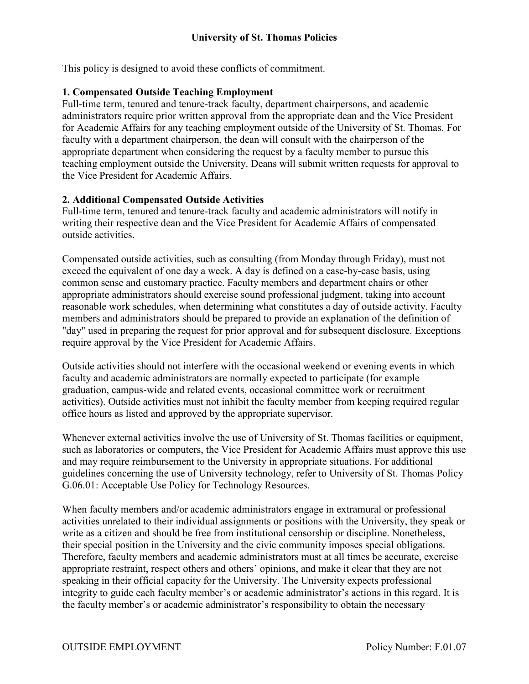This policy is designed to avoid these conflicts of commitment.

# **1. Compensated Outside Teaching Employment**

Full-time term, tenured and tenure-track faculty, department chairpersons, and academic administrators require prior written approval from the appropriate dean and the Vice President for Academic Affairs for any teaching employment outside of the University of St. Thomas. For faculty with a department chairperson, the dean will consult with the chairperson of the appropriate department when considering the request by a faculty member to pursue this teaching employment outside the University. Deans will submit written requests for approval to the Vice President for Academic Affairs.

# **2. Additional Compensated Outside Activities**

Full-time term, tenured and tenure-track faculty and academic administrators will notify in writing their respective dean and the Vice President for Academic Affairs of compensated outside activities.

Compensated outside activities, such as consulting (from Monday through Friday), must not exceed the equivalent of one day a week. A day is defined on a case-by-case basis, using common sense and customary practice. Faculty members and department chairs or other appropriate administrators should exercise sound professional judgment, taking into account reasonable work schedules, when determining what constitutes a day of outside activity. Faculty members and administrators should be prepared to provide an explanation of the definition of "day" used in preparing the request for prior approval and for subsequent disclosure. Exceptions require approval by the Vice President for Academic Affairs.

Outside activities should not interfere with the occasional weekend or evening events in which faculty and academic administrators are normally expected to participate (for example graduation, campus-wide and related events, occasional committee work or recruitment activities). Outside activities must not inhibit the faculty member from keeping required regular office hours as listed and approved by the appropriate supervisor.

Whenever external activities involve the use of University of St. Thomas facilities or equipment, such as laboratories or computers, the Vice President for Academic Affairs must approve this use and may require reimbursement to the University in appropriate situations. For additional guidelines concerning the use of University technology, refer to University of St. Thomas Policy G.06.01: Acceptable Use Policy for Technology Resources.

When faculty members and/or academic administrators engage in extramural or professional activities unrelated to their individual assignments or positions with the University, they speak or write as a citizen and should be free from institutional censorship or discipline. Nonetheless, their special position in the University and the civic community imposes special obligations. Therefore, faculty members and academic administrators must at all times be accurate, exercise appropriate restraint, respect others and others' opinions, and make it clear that they are not speaking in their official capacity for the University. The University expects professional integrity to guide each faculty member's or academic administrator's actions in this regard. It is the faculty member's or academic administrator's responsibility to obtain the necessary